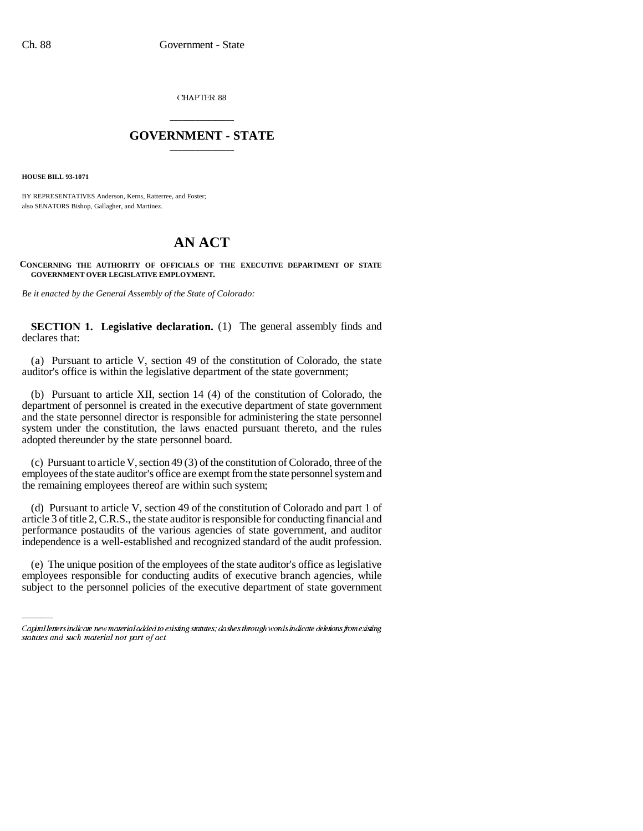CHAPTER 88

## \_\_\_\_\_\_\_\_\_\_\_\_\_\_\_ **GOVERNMENT - STATE** \_\_\_\_\_\_\_\_\_\_\_\_\_\_\_

**HOUSE BILL 93-1071**

BY REPRESENTATIVES Anderson, Kerns, Ratterree, and Foster; also SENATORS Bishop, Gallagher, and Martinez.

## **AN ACT**

**CONCERNING THE AUTHORITY OF OFFICIALS OF THE EXECUTIVE DEPARTMENT OF STATE GOVERNMENT OVER LEGISLATIVE EMPLOYMENT.**

*Be it enacted by the General Assembly of the State of Colorado:*

**SECTION 1. Legislative declaration.** (1) The general assembly finds and declares that:

(a) Pursuant to article V, section 49 of the constitution of Colorado, the state auditor's office is within the legislative department of the state government;

(b) Pursuant to article XII, section 14 (4) of the constitution of Colorado, the department of personnel is created in the executive department of state government and the state personnel director is responsible for administering the state personnel system under the constitution, the laws enacted pursuant thereto, and the rules adopted thereunder by the state personnel board.

(c) Pursuant to article V, section 49 (3) of the constitution of Colorado, three of the employees of the state auditor's office are exempt from the state personnel system and the remaining employees thereof are within such system;

independence is a well-established and recognized standard of the audit profession. (d) Pursuant to article V, section 49 of the constitution of Colorado and part 1 of article 3 of title 2, C.R.S., the state auditor is responsible for conducting financial and performance postaudits of the various agencies of state government, and auditor

(e) The unique position of the employees of the state auditor's office as legislative employees responsible for conducting audits of executive branch agencies, while subject to the personnel policies of the executive department of state government

Capital letters indicate new material added to existing statutes; dashes through words indicate deletions from existing statutes and such material not part of act.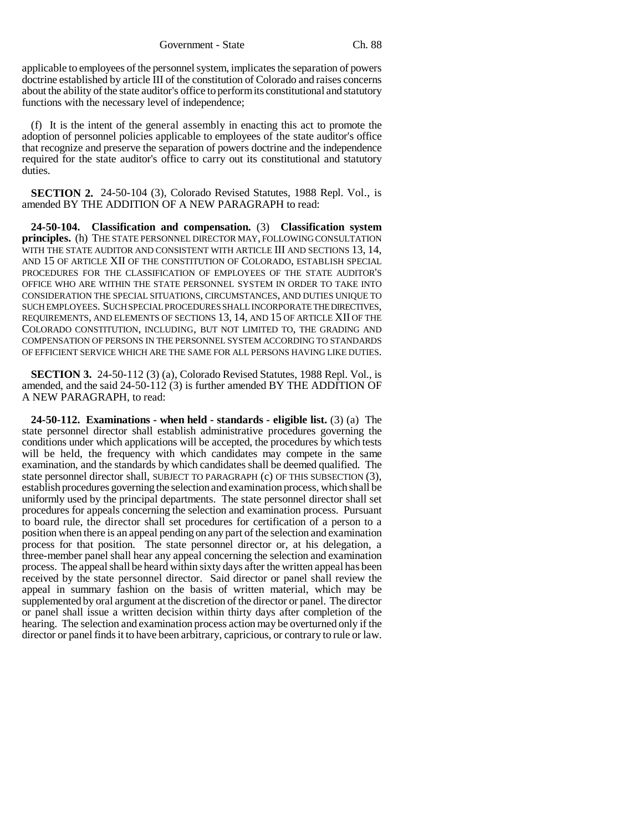applicable to employees of the personnel system, implicates the separation of powers doctrine established by article III of the constitution of Colorado and raises concerns about the ability of the state auditor's office to perform its constitutional and statutory functions with the necessary level of independence;

(f) It is the intent of the general assembly in enacting this act to promote the adoption of personnel policies applicable to employees of the state auditor's office that recognize and preserve the separation of powers doctrine and the independence required for the state auditor's office to carry out its constitutional and statutory duties.

**SECTION 2.** 24-50-104 (3), Colorado Revised Statutes, 1988 Repl. Vol., is amended BY THE ADDITION OF A NEW PARAGRAPH to read:

**24-50-104. Classification and compensation.** (3) **Classification system principles.** (h) THE STATE PERSONNEL DIRECTOR MAY, FOLLOWING CONSULTATION WITH THE STATE AUDITOR AND CONSISTENT WITH ARTICLE III AND SECTIONS 13, 14, AND 15 OF ARTICLE XII OF THE CONSTITUTION OF COLORADO, ESTABLISH SPECIAL PROCEDURES FOR THE CLASSIFICATION OF EMPLOYEES OF THE STATE AUDITOR'S OFFICE WHO ARE WITHIN THE STATE PERSONNEL SYSTEM IN ORDER TO TAKE INTO CONSIDERATION THE SPECIAL SITUATIONS, CIRCUMSTANCES, AND DUTIES UNIQUE TO SUCH EMPLOYEES. SUCH SPECIAL PROCEDURES SHALL INCORPORATE THE DIRECTIVES, REQUIREMENTS, AND ELEMENTS OF SECTIONS 13, 14, AND 15 OF ARTICLE XII OF THE COLORADO CONSTITUTION, INCLUDING, BUT NOT LIMITED TO, THE GRADING AND COMPENSATION OF PERSONS IN THE PERSONNEL SYSTEM ACCORDING TO STANDARDS OF EFFICIENT SERVICE WHICH ARE THE SAME FOR ALL PERSONS HAVING LIKE DUTIES.

**SECTION 3.** 24-50-112 (3) (a), Colorado Revised Statutes, 1988 Repl. Vol., is amended, and the said 24-50-112 (3) is further amended BY THE ADDITION OF A NEW PARAGRAPH, to read:

**24-50-112. Examinations - when held - standards - eligible list.** (3) (a) The state personnel director shall establish administrative procedures governing the conditions under which applications will be accepted, the procedures by which tests will be held, the frequency with which candidates may compete in the same examination, and the standards by which candidates shall be deemed qualified. The state personnel director shall, SUBJECT TO PARAGRAPH (c) OF THIS SUBSECTION (3), establish procedures governing the selection and examination process, which shall be uniformly used by the principal departments. The state personnel director shall set procedures for appeals concerning the selection and examination process. Pursuant to board rule, the director shall set procedures for certification of a person to a position when there is an appeal pending on any part of the selection and examination process for that position. The state personnel director or, at his delegation, a three-member panel shall hear any appeal concerning the selection and examination process. The appeal shall be heard within sixty days after the written appeal has been received by the state personnel director. Said director or panel shall review the appeal in summary fashion on the basis of written material, which may be supplemented by oral argument at the discretion of the director or panel. The director or panel shall issue a written decision within thirty days after completion of the hearing. The selection and examination process action may be overturned only if the director or panel finds it to have been arbitrary, capricious, or contrary to rule or law.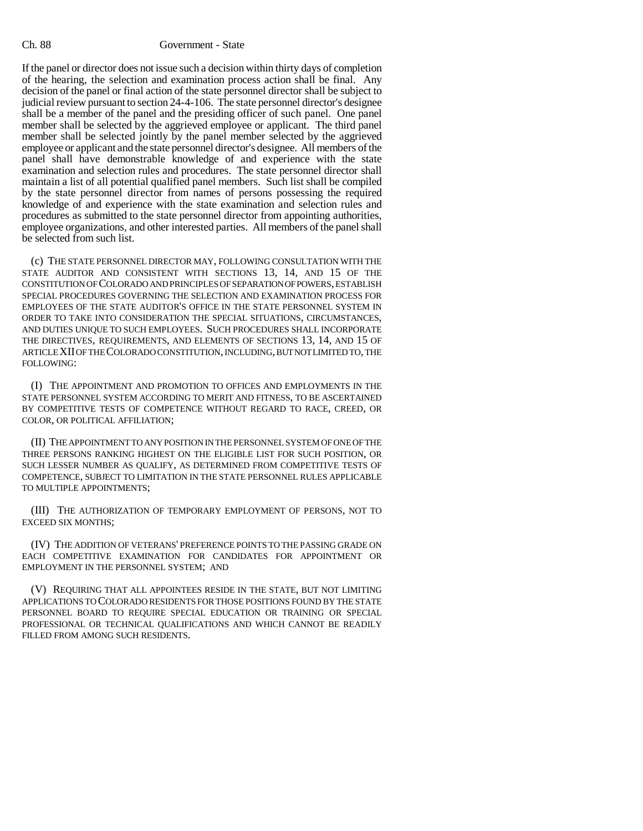## Ch. 88 Government - State

If the panel or director does not issue such a decision within thirty days of completion of the hearing, the selection and examination process action shall be final. Any decision of the panel or final action of the state personnel director shall be subject to judicial review pursuant to section 24-4-106. The state personnel director's designee shall be a member of the panel and the presiding officer of such panel. One panel member shall be selected by the aggrieved employee or applicant. The third panel member shall be selected jointly by the panel member selected by the aggrieved employee or applicant and the state personnel director's designee. All members of the panel shall have demonstrable knowledge of and experience with the state examination and selection rules and procedures. The state personnel director shall maintain a list of all potential qualified panel members. Such list shall be compiled by the state personnel director from names of persons possessing the required knowledge of and experience with the state examination and selection rules and procedures as submitted to the state personnel director from appointing authorities, employee organizations, and other interested parties. All members of the panel shall be selected from such list.

(c) THE STATE PERSONNEL DIRECTOR MAY, FOLLOWING CONSULTATION WITH THE STATE AUDITOR AND CONSISTENT WITH SECTIONS 13, 14, AND 15 OF THE CONSTITUTION OF COLORADO AND PRINCIPLES OF SEPARATION OF POWERS, ESTABLISH SPECIAL PROCEDURES GOVERNING THE SELECTION AND EXAMINATION PROCESS FOR EMPLOYEES OF THE STATE AUDITOR'S OFFICE IN THE STATE PERSONNEL SYSTEM IN ORDER TO TAKE INTO CONSIDERATION THE SPECIAL SITUATIONS, CIRCUMSTANCES, AND DUTIES UNIQUE TO SUCH EMPLOYEES. SUCH PROCEDURES SHALL INCORPORATE THE DIRECTIVES, REQUIREMENTS, AND ELEMENTS OF SECTIONS 13, 14, AND 15 OF ARTICLE XII OF THE COLORADO CONSTITUTION, INCLUDING, BUT NOT LIMITED TO, THE FOLLOWING:

(I) THE APPOINTMENT AND PROMOTION TO OFFICES AND EMPLOYMENTS IN THE STATE PERSONNEL SYSTEM ACCORDING TO MERIT AND FITNESS, TO BE ASCERTAINED BY COMPETITIVE TESTS OF COMPETENCE WITHOUT REGARD TO RACE, CREED, OR COLOR, OR POLITICAL AFFILIATION;

(II) THE APPOINTMENT TO ANY POSITION IN THE PERSONNEL SYSTEM OF ONE OF THE THREE PERSONS RANKING HIGHEST ON THE ELIGIBLE LIST FOR SUCH POSITION, OR SUCH LESSER NUMBER AS QUALIFY, AS DETERMINED FROM COMPETITIVE TESTS OF COMPETENCE, SUBJECT TO LIMITATION IN THE STATE PERSONNEL RULES APPLICABLE TO MULTIPLE APPOINTMENTS;

(III) THE AUTHORIZATION OF TEMPORARY EMPLOYMENT OF PERSONS, NOT TO EXCEED SIX MONTHS;

(IV) THE ADDITION OF VETERANS' PREFERENCE POINTS TO THE PASSING GRADE ON EACH COMPETITIVE EXAMINATION FOR CANDIDATES FOR APPOINTMENT OR EMPLOYMENT IN THE PERSONNEL SYSTEM; AND

(V) REQUIRING THAT ALL APPOINTEES RESIDE IN THE STATE, BUT NOT LIMITING APPLICATIONS TO COLORADO RESIDENTS FOR THOSE POSITIONS FOUND BY THE STATE PERSONNEL BOARD TO REQUIRE SPECIAL EDUCATION OR TRAINING OR SPECIAL PROFESSIONAL OR TECHNICAL QUALIFICATIONS AND WHICH CANNOT BE READILY FILLED FROM AMONG SUCH RESIDENTS.